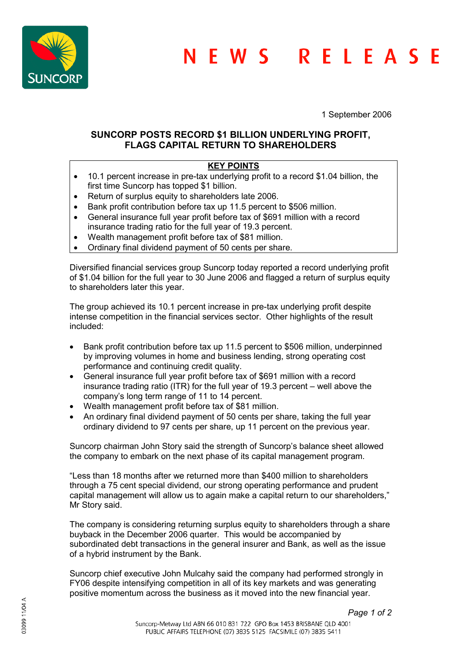

1 September 2006

## **SUNCORP POSTS RECORD \$1 BILLION UNDERLYING PROFIT, FLAGS CAPITAL RETURN TO SHAREHOLDERS**

## **KEY POINTS**

- 10.1 percent increase in pre-tax underlying profit to a record \$1.04 billion, the first time Suncorp has topped \$1 billion.
- Return of surplus equity to shareholders late 2006.
- Bank profit contribution before tax up 11.5 percent to \$506 million.
- General insurance full year profit before tax of \$691 million with a record insurance trading ratio for the full year of 19.3 percent.
- Wealth management profit before tax of \$81 million.
- Ordinary final dividend payment of 50 cents per share.

Diversified financial services group Suncorp today reported a record underlying profit of \$1.04 billion for the full year to 30 June 2006 and flagged a return of surplus equity to shareholders later this year.

The group achieved its 10.1 percent increase in pre-tax underlying profit despite intense competition in the financial services sector. Other highlights of the result included:

- Bank profit contribution before tax up 11.5 percent to \$506 million, underpinned by improving volumes in home and business lending, strong operating cost performance and continuing credit quality.
- General insurance full year profit before tax of \$691 million with a record insurance trading ratio (ITR) for the full year of 19.3 percent – well above the company's long term range of 11 to 14 percent.
- Wealth management profit before tax of \$81 million.
- An ordinary final dividend payment of 50 cents per share, taking the full year ordinary dividend to 97 cents per share, up 11 percent on the previous year.

Suncorp chairman John Story said the strength of Suncorp's balance sheet allowed the company to embark on the next phase of its capital management program.

"Less than 18 months after we returned more than \$400 million to shareholders through a 75 cent special dividend, our strong operating performance and prudent capital management will allow us to again make a capital return to our shareholders," Mr Story said.

The company is considering returning surplus equity to shareholders through a share buyback in the December 2006 quarter. This would be accompanied by subordinated debt transactions in the general insurer and Bank, as well as the issue of a hybrid instrument by the Bank.

Suncorp chief executive John Mulcahy said the company had performed strongly in FY06 despite intensifying competition in all of its key markets and was generating positive momentum across the business as it moved into the new financial year.